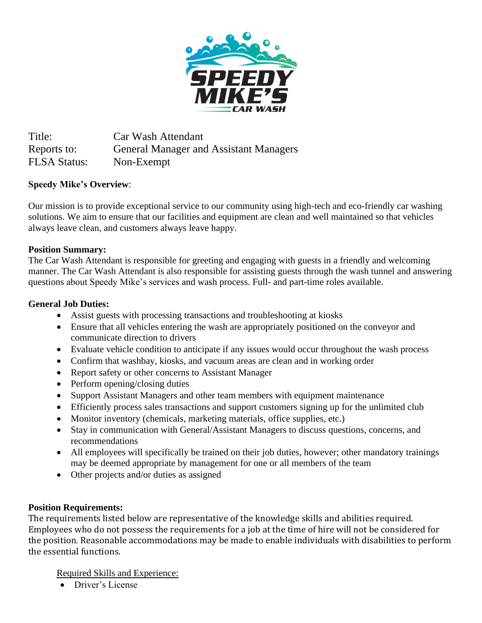

Title: Car Wash Attendant Reports to: General Manager and Assistant Managers FLSA Status: Non-Exempt

# **Speedy Mike's Overview**:

Our mission is to provide exceptional service to our community using high-tech and eco-friendly car washing solutions. We aim to ensure that our facilities and equipment are clean and well maintained so that vehicles always leave clean, and customers always leave happy.

## **Position Summary:**

The Car Wash Attendant is responsible for greeting and engaging with guests in a friendly and welcoming manner. The Car Wash Attendant is also responsible for assisting guests through the wash tunnel and answering questions about Speedy Mike's services and wash process. Full- and part-time roles available.

## **General Job Duties:**

- Assist guests with processing transactions and troubleshooting at kiosks
- Ensure that all vehicles entering the wash are appropriately positioned on the conveyor and communicate direction to drivers
- Evaluate vehicle condition to anticipate if any issues would occur throughout the wash process
- Confirm that washbay, kiosks, and vacuum areas are clean and in working order
- Report safety or other concerns to Assistant Manager
- Perform opening/closing duties
- Support Assistant Managers and other team members with equipment maintenance
- Efficiently process sales transactions and support customers signing up for the unlimited club
- Monitor inventory (chemicals, marketing materials, office supplies, etc.)
- Stay in communication with General/Assistant Managers to discuss questions, concerns, and recommendations
- All employees will specifically be trained on their job duties, however; other mandatory trainings may be deemed appropriate by management for one or all members of the team
- Other projects and/or duties as assigned

# **Position Requirements:**

The requirements listed below are representative of the knowledge skills and abilities required. Employees who do not possess the requirements for a job at the time of hire will not be considered for the position. Reasonable accommodations may be made to enable individuals with disabilities to perform the essential functions.

Required Skills and Experience:

• Driver's License